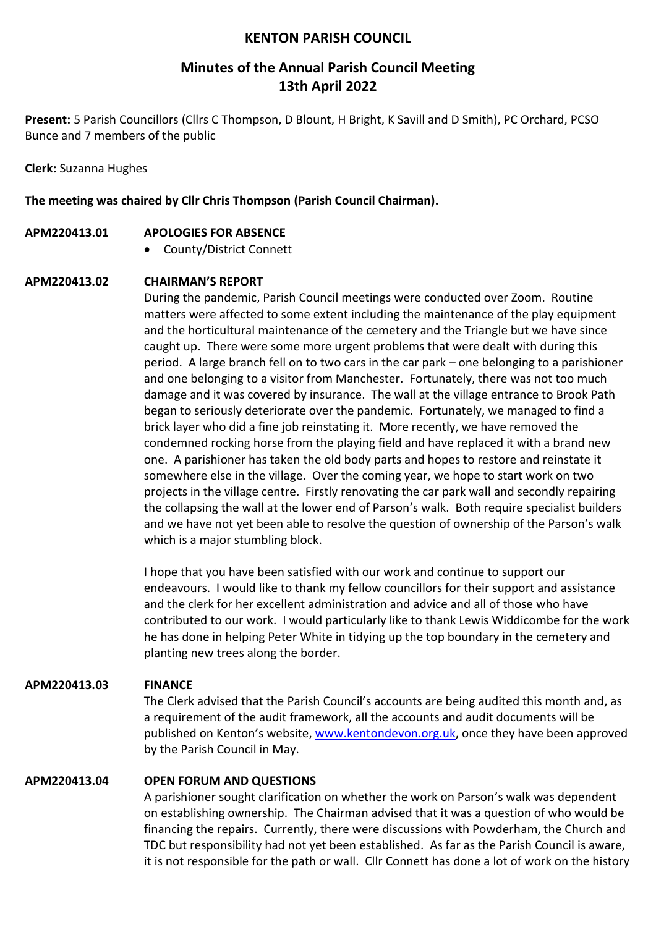## **KENTON PARISH COUNCIL**

# **Minutes of the Annual Parish Council Meeting 13th April 2022**

**Present:** 5 Parish Councillors (Cllrs C Thompson, D Blount, H Bright, K Savill and D Smith), PC Orchard, PCSO Bunce and 7 members of the public

**Clerk:** Suzanna Hughes

**The meeting was chaired by Cllr Chris Thompson (Parish Council Chairman).**

- **APM220413.01 APOLOGIES FOR ABSENCE**
	- County/District Connett

### **APM220413.02 CHAIRMAN'S REPORT**

During the pandemic, Parish Council meetings were conducted over Zoom. Routine matters were affected to some extent including the maintenance of the play equipment and the horticultural maintenance of the cemetery and the Triangle but we have since caught up. There were some more urgent problems that were dealt with during this period. A large branch fell on to two cars in the car park – one belonging to a parishioner and one belonging to a visitor from Manchester. Fortunately, there was not too much damage and it was covered by insurance. The wall at the village entrance to Brook Path began to seriously deteriorate over the pandemic. Fortunately, we managed to find a brick layer who did a fine job reinstating it. More recently, we have removed the condemned rocking horse from the playing field and have replaced it with a brand new one. A parishioner has taken the old body parts and hopes to restore and reinstate it somewhere else in the village. Over the coming year, we hope to start work on two projects in the village centre. Firstly renovating the car park wall and secondly repairing the collapsing the wall at the lower end of Parson's walk. Both require specialist builders and we have not yet been able to resolve the question of ownership of the Parson's walk which is a major stumbling block.

I hope that you have been satisfied with our work and continue to support our endeavours. I would like to thank my fellow councillors for their support and assistance and the clerk for her excellent administration and advice and all of those who have contributed to our work. I would particularly like to thank Lewis Widdicombe for the work he has done in helping Peter White in tidying up the top boundary in the cemetery and planting new trees along the border.

### **APM220413.03 FINANCE**

The Clerk advised that the Parish Council's accounts are being audited this month and, as a requirement of the audit framework, all the accounts and audit documents will be published on Kenton's website, [www.kentondevon.org.uk,](http://www.kentondevon.org.uk/) once they have been approved by the Parish Council in May.

#### **APM220413.04 OPEN FORUM AND QUESTIONS**

A parishioner sought clarification on whether the work on Parson's walk was dependent on establishing ownership. The Chairman advised that it was a question of who would be financing the repairs. Currently, there were discussions with Powderham, the Church and TDC but responsibility had not yet been established. As far as the Parish Council is aware, it is not responsible for the path or wall. Cllr Connett has done a lot of work on the history